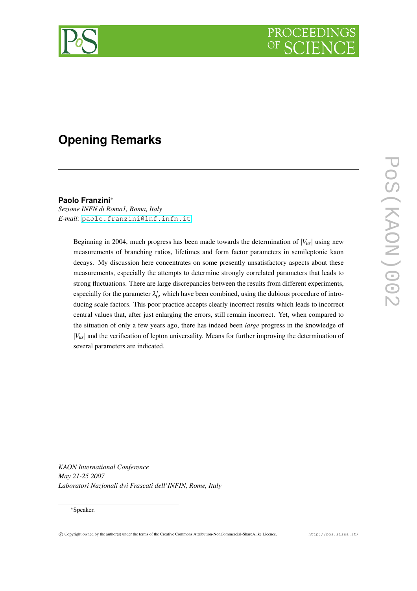

# **Opening Remarks**

# **Paolo Franzini**<sup>∗</sup>

*Sezione INFN di Roma1, Roma, Italy E-mail:* [paolo.franzini@lnf.infn.it](mailto:paolo.franzini@lnf.infn.it)

> Beginning in 2004, much progress has been made towards the determination of  $|V_{\mu s}|$  using new measurements of branching ratios, lifetimes and form factor parameters in semileptonic kaon decays. My discussion here concentrates on some presently unsatisfactory aspects about these measurements, especially the attempts to determine strongly correlated parameters that leads to strong fluctuations. There are large discrepancies between the results from different experiments, especially for the parameter  $\lambda'_0$ , which have been combined, using the dubious procedure of introducing scale factors. This poor practice accepts clearly incorrect results which leads to incorrect central values that, after just enlarging the errors, still remain incorrect. Yet, when compared to the situation of only a few years ago, there has indeed been *large* progress in the knowledge of |*Vus*| and the verification of lepton universality. Means for further improving the determination of several parameters are indicated.

*KAON International Conference May 21-25 2007 Laboratori Nazionali dvi Frascati dell'INFIN, Rome, Italy*

# <sup>∗</sup>Speaker.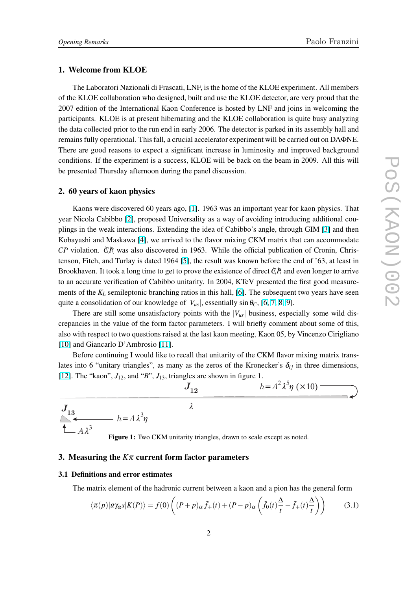## <span id="page-1-0"></span>1. Welcome from KLOE

The Laboratori Nazionali di Frascati, LNF, is the home of the KLOE experiment. All members of the KLOE collaboration who designed, built and use the KLOE detector, are very proud that the 2007 edition of the International Kaon Conference is hosted by LNF and joins in welcoming the participants. KLOE is at present hibernating and the KLOE collaboration is quite busy analyzing the data collected prior to the run end in early 2006. The detector is parked in its assembly hall and remains fully operational. This fall, a crucial accelerator experiment will be carried out on DAΦNE. There are good reasons to expect a significant increase in luminosity and improved background conditions. If the experiment is a success, KLOE will be back on the beam in 2009. All this will be presented Thursday afternoon during the panel discussion.

#### 2. 60 years of kaon physics

Kaons were discovered 60 years ago, [\[1\]](#page-7-0). 1963 was an important year for kaon physics. That year Nicola Cabibbo [\[2\]](#page-7-0), proposed Universality as a way of avoiding introducing additional couplings in the weak interactions. Extending the idea of Cabibbo's angle, through GIM [\[3\]](#page-7-0) and then Kobayashi and Maskawa [\[4\]](#page-7-0), we arrived to the flavor mixing CKM matrix that can accommodate  $\overline{CP}$  violation.  $\overrightarrow{QR}$  was also discovered in 1963. While the official publication of Cronin, Christenson, Fitch, and Turlay is dated 1964 [\[5\]](#page-7-0), the result was known before the end of '63, at least in Brookhaven. It took a long time to get to prove the existence of direct  $\zeta\hat{P}$  and even longer to arrive to an accurate verification of Cabibbo unitarity. In 2004, KTeV presented the first good measurements of the  $K_L$  semileptonic branching ratios in this hall, [\[6\]](#page-7-0). The subsequent two years have seen quite a consolidation of our knowledge of  $|V_{us}|$ , essentially sin  $\theta_C$ , [\[6,](#page-7-0) [7,](#page-7-0) [8,](#page-7-0) [9\]](#page-7-0).

There are still some unsatisfactory points with the  $|V_{us}|$  business, especially some wild discrepancies in the value of the form factor parameters. I will briefly comment about some of this, also with respect to two questions raised at the last kaon meeting, Kaon 05, by Vincenzo Cirigliano [\[10\]](#page-8-0) and Giancarlo D'Ambrosio [\[11\]](#page-8-0).

Before continuing I would like to recall that unitarity of the CKM flavor mixing matrix translates into 6 "unitary triangles", as many as the zeros of the Kronecker's  $\delta_{ij}$  in three dimensions, [\[12\]](#page-8-0). The "kaon",  $J_{12}$ , and "*B*",  $J_{13}$ , triangles are shown in figure 1.



Figure 1: Two CKM unitarity triangles, drawn to scale except as noted.

# 3. Measuring the  $K\pi$  current form factor parameters

#### 3.1 Definitions and error estimates

The matrix element of the hadronic current between a kaon and a pion has the general form

$$
\langle \pi(p)|\bar{u}\gamma_{\alpha}s|K(P)\rangle = f(0)\left((P+p)_{\alpha}\tilde{f}_{+}(t) + (P-p)_{\alpha}\left(\tilde{f}_{0}(t)\frac{\Delta}{t} - \tilde{f}_{+}(t)\frac{\Delta}{t}\right)\right) \tag{3.1}
$$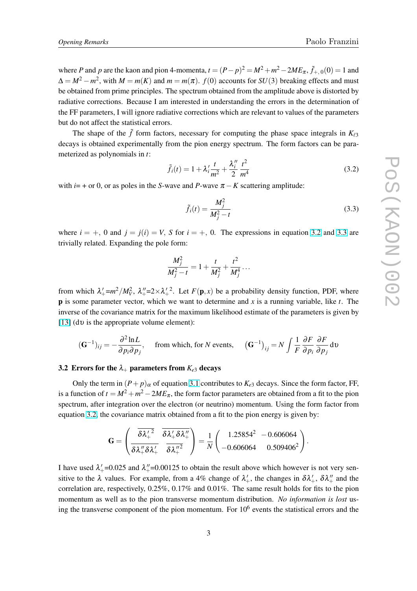<span id="page-2-0"></span>where *P* and *p* are the kaon and pion 4-momenta,  $t = (P - p)^2 = M^2 + m^2 - 2ME_\pi$ ,  $\tilde{f}_{+,0}(0) = 1$  and  $\Delta = M^2 - m^2$ , with  $M = m(K)$  and  $m = m(\pi)$ .  $f(0)$  accounts for  $SU(3)$  breaking effects and must be obtained from prime principles. The spectrum obtained from the amplitude above is distorted by radiative corrections. Because I am interested in understanding the errors in the determination of the FF parameters, I will ignore radiative corrections which are relevant to values of the parameters but do not affect the statistical errors.

The shape of the  $\tilde{f}$  form factors, necessary for computing the phase space integrals in  $K_{\ell 3}$ decays is obtained experimentally from the pion energy spectrum. The form factors can be parameterized as polynomials in *t*:

$$
\tilde{f}_i(t) = 1 + \lambda_i' \frac{t}{m^2} + \frac{\lambda_i''}{2} \frac{t^2}{m^4}
$$
\n(3.2)

with  $i= +$  or 0, or as poles in the *S*-wave and *P*-wave  $\pi - K$  scattering amplitude:

$$
\tilde{f}_i(t) = \frac{M_j^2}{M_j^2 - t} \tag{3.3}
$$

where  $i = +$ , 0 and  $j = j(i) = V$ , *S* for  $i = +$ , 0. The expressions in equation 3.2 and 3.3 are trivially related. Expanding the pole form:

$$
\frac{M_j^2}{M_j^2 - t} = 1 + \frac{t}{M_j^2} + \frac{t^2}{M_j^4} \dots
$$

from which  $\lambda'_+ = m^2/M_V^2$ ,  $\lambda''_+ = 2 \times \lambda'^2$ . Let  $F(\mathbf{p}, x)$  be a probability density function, PDF, where p is some parameter vector, which we want to determine and *x* is a running variable, like *t*. The inverse of the covariance matrix for the maximum likelihood estimate of the parameters is given by [\[13\]](#page-8-0) (dv is the appropriate volume element):

$$
(\mathbf{G}^{-1})_{ij} = -\frac{\partial^2 \ln L}{\partial p_i \partial p_j}, \quad \text{from which, for } N \text{ events}, \quad (\mathbf{G}^{-1})_{ij} = N \int \frac{1}{F} \frac{\partial F}{\partial p_i} \frac{\partial F}{\partial p_j} \, \mathrm{d}v
$$

#### 3.2 Errors for the  $\lambda_+$  parameters from  $K_{e3}$  decays

Only the term in  $(P + p)$ <sub> $\alpha$ </sub> of equation [3.1](#page-1-0) contributes to  $K_{e3}$  decays. Since the form factor, FF, is a function of  $t = M^2 + m^2 - 2ME_\pi$ , the form factor parameters are obtained from a fit to the pion spectrum, after integration over the electron (or neutrino) momentum. Using the form factor from equation 3.2, the covariance matrix obtained from a fit to the pion energy is given by:

$$
\mathbf{G} = \left(\frac{\overline{\delta \lambda_+^{'2}}}{\delta \lambda_+^{'2} \delta \lambda_+^{'}} \frac{\overline{\delta \lambda_+^{'2} \delta \lambda_+^{'2}}}{\overline{\delta \lambda_+^{'2}}} \right) = \frac{1}{N} \left(\begin{array}{rr} 1.25854^2 & -0.606064 \\ -0.606064 & 0.509406^2 \end{array}\right).
$$

I have used  $\lambda'_{+}$ =0.025 and  $\lambda''_{+}$ =0.00125 to obtain the result above which however is not very sensitive to the  $\lambda$  values. For example, from a 4% change of  $\lambda'_+$ , the changes in  $\delta\lambda'_+$ ,  $\delta\lambda''_+$  and the correlation are, respectively, 0.25%, 0.17% and 0.01%. The same result holds for fits to the pion momentum as well as to the pion transverse momentum distribution. *No information is lost* using the transverse component of the pion momentum. For  $10<sup>6</sup>$  events the statistical errors and the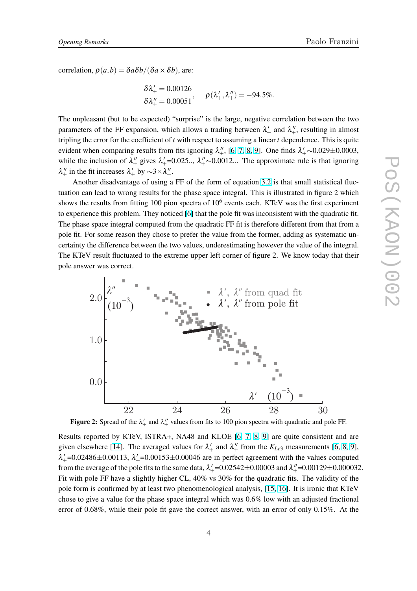correlation,  $\rho(a,b) = \overline{\delta a \delta b}/(\delta a \times \delta b)$ , are:

$$
\begin{aligned} & \delta \lambda_+' = 0.00126 \\ & \delta \lambda_+'' = 0.00051 \end{aligned}, \quad \rho(\lambda_+'',\lambda_+'') = -94.5\%.
$$

The unpleasant (but to be expected) "surprise" is the large, negative correlation between the two parameters of the FF expansion, which allows a trading between  $\lambda'_{+}$  and  $\lambda''_{+}$ , resulting in almost tripling the error for the coefficient of *t* with respect to assuming a linear *t* dependence. This is quite evident when comparing results from fits ignoring  $\lambda''_+$ , [\[6,](#page-7-0) [7,](#page-7-0) [8,](#page-7-0) [9\]](#page-7-0). One finds  $\lambda'_+ \sim 0.029 \pm 0.0003$ , while the inclusion of  $\lambda''_+$  gives  $\lambda'_+$ =0.025..,  $\lambda''_+$  ~0.0012... The approximate rule is that ignoring  $\lambda''_+$  in the fit increases  $\lambda'_+$  by  $\sim$ 3× $\lambda''_+$ .

Another disadvantage of using a FF of the form of equation [3.2](#page-2-0) is that small statistical fluctuation can lead to wrong results for the phase space integral. This is illustrated in figure 2 which shows the results from fitting 100 pion spectra of  $10<sup>6</sup>$  events each. KTeV was the first experiment to experience this problem. They noticed [\[6\]](#page-7-0) that the pole fit was inconsistent with the quadratic fit. The phase space integral computed from the quadratic FF fit is therefore different from that from a pole fit. For some reason they chose to prefer the value from the former, adding as systematic uncertainty the difference between the two values, underestimating however the value of the integral. The KTeV result fluctuated to the extreme upper left corner of figure 2. We know today that their pole answer was correct.



Figure 2: Spread of the  $\lambda'_+$  and  $\lambda''_+$  values from fits to 100 pion spectra with quadratic and pole FF.

Results reported by KTeV, ISTRA+, NA48 and KLOE [\[6,](#page-7-0) [7,](#page-7-0) [8,](#page-7-0) [9\]](#page-7-0) are quite consistent and are given elsewhere [\[14\]](#page-8-0). The averaged values for  $\lambda'_+$  and  $\lambda''_+$  from the  $K_{Le3}$  measurements [\[6,](#page-7-0) [8,](#page-7-0) [9\]](#page-7-0),  $\lambda'_{+}$ =0.02486 $\pm$ 0.00113,  $\lambda'_{+}$ =0.00153 $\pm$ 0.00046 are in perfect agreement with the values computed from the average of the pole fits to the same data,  $\lambda'_{+}$ =0.02542±0.00003 and  $\lambda''_{+}$ =0.00129±0.000032. Fit with pole FF have a slightly higher CL, 40% vs 30% for the quadratic fits. The validity of the pole form is confirmed by at least two phenomenological analysis, [\[15,](#page-8-0) [16\]](#page-8-0). It is ironic that KTeV chose to give a value for the phase space integral which was 0.6% low with an adjusted fractional error of 0.68%, while their pole fit gave the correct answer, with an error of only 0.15%. At the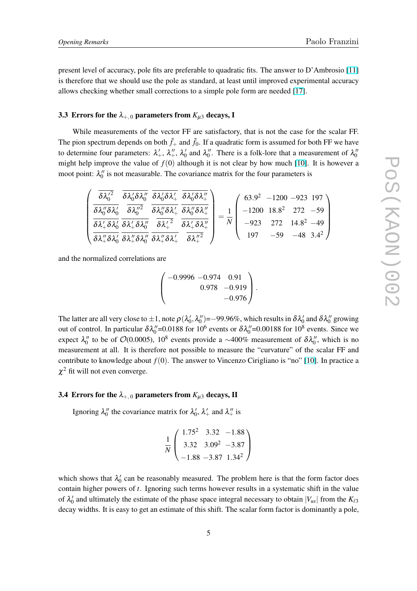present level of accuracy, pole fits are preferable to quadratic fits. The answer to D'Ambrosio [\[11\]](#page-8-0) is therefore that we should use the pole as standard, at least until improved experimental accuracy allows checking whether small corrections to a simple pole form are needed [\[17\]](#page-8-0).

# 3.3 Errors for the  $\lambda_{+,0}$  parameters from  $K_{\mu 3}$  decays, I

While measurements of the vector FF are satisfactory, that is not the case for the scalar FF. The pion spectrum depends on both  $\tilde{f}_+$  and  $\tilde{f}_0$ . If a quadratic form is assumed for both FF we have to determine four parameters:  $\lambda'_+$ ,  $\lambda''_+$ ,  $\lambda'_0$  and  $\lambda''_0$ . There is a folk-lore that a measurement of  $\lambda''_0$ might help improve the value of  $f(0)$  although it is not clear by how much [\[10\]](#page-8-0). It is however a moot point:  $\lambda_0''$  is not measurable. The covariance matrix for the four parameters is

|  |  | $\delta\lambda_0^{\prime 2}$ $\delta\lambda_0^{\prime}\delta\lambda_0^{\prime\prime}$ $\delta\lambda_0^{\prime}\delta\lambda_+^{\prime}$ $\delta\lambda_0^{\prime}\delta\lambda_+^{\prime\prime}$                                                       |  |  | $(63.9^2 - 1200 - 923)$ 197)                                                                    |  |
|--|--|---------------------------------------------------------------------------------------------------------------------------------------------------------------------------------------------------------------------------------------------------------|--|--|-------------------------------------------------------------------------------------------------|--|
|  |  | $\delta\lambda_0^{\prime\prime}\delta\lambda_0^\prime\quad \overline{\delta\lambda_0^{\prime\prime^2}}\quad \overline{\delta\lambda_0^{\prime\prime}\delta\lambda_+^\prime}\ \overline{\delta\lambda_0^{\prime\prime}\delta\lambda_+^{\prime\prime}}\,$ |  |  | $1 \begin{bmatrix} -1200 & 18.8^2 & 272 & -59 \end{bmatrix}$                                    |  |
|  |  | $\overline{\delta\lambda_+^\prime \delta\lambda_0^\prime} \ \overline{\delta\lambda_+^\prime \delta\lambda_0^{\prime\prime}} \ \ \overline{\delta\lambda_+^{\prime\,2}} \ \ \overline{\delta\lambda_+^\prime \delta\lambda_+^{\prime\prime}}$           |  |  | $\begin{array}{ c c c c c c } \hline \hline N & -923 & 272 & 14.8^2 & -49 \ \hline \end{array}$ |  |
|  |  | $\sqrt{\frac{\delta \lambda''_+ \delta \lambda'_0}{\delta \lambda''_+ \delta \lambda''_0}} \frac{\delta \lambda''_+ \delta \lambda'_+}{\delta \lambda''_+ \delta \lambda'_+}$                                                                           |  |  | $197 -59 -48 \cdot 3.4^2$                                                                       |  |

and the normalized correlations are

$$
\left(\begin{array}{rrr}-0.9996 & -0.974 & 0.91 \\ & 0.978 & -0.919 \\ & & -0.976\end{array}\right).
$$

The latter are all very close to  $\pm 1$ , note  $\rho(\lambda'_0,\lambda''_0)$ =–99.96%, which results in  $\delta\lambda'_0$  and  $\delta\lambda''_0$  growing out of control. In particular  $\delta \lambda_0''=0.0188$  for  $10^6$  events or  $\delta \lambda_0''=0.00188$  for  $10^8$  events. Since we expect  $\lambda_0''$  to be of  $O(0.0005)$ , 10<sup>8</sup> events provide a ~400% measurement of  $\delta \lambda_0''$ , which is no measurement at all. It is therefore not possible to measure the "curvature" of the scalar FF and contribute to knowledge about  $f(0)$ . The answer to Vincenzo Cirigliano is "no" [\[10\]](#page-8-0). In practice a  $\chi^2$  fit will not even converge.

## 3.4 Errors for the  $\lambda_{+,0}$  parameters from  $K_{\mu 3}$  decays, II

Ignoring  $\lambda_0''$  the covariance matrix for  $\lambda_0'$ ,  $\lambda_+'$  and  $\lambda_+''$  is

$$
\frac{1}{N} \left( \begin{array}{ccc} 1.75^2 & 3.32 & -1.88 \\ 3.32 & 3.09^2 & -3.87 \\ -1.88 & -3.87 & 1.34^2 \end{array} \right)
$$

which shows that  $\lambda'_0$  can be reasonably measured. The problem here is that the form factor does contain higher powers of *t*. Ignoring such terms however results in a systematic shift in the value of  $\lambda'_0$  and ultimately the estimate of the phase space integral necessary to obtain  $|V_{us}|$  from the  $K_{\ell 3}$ decay widths. It is easy to get an estimate of this shift. The scalar form factor is dominantly a pole,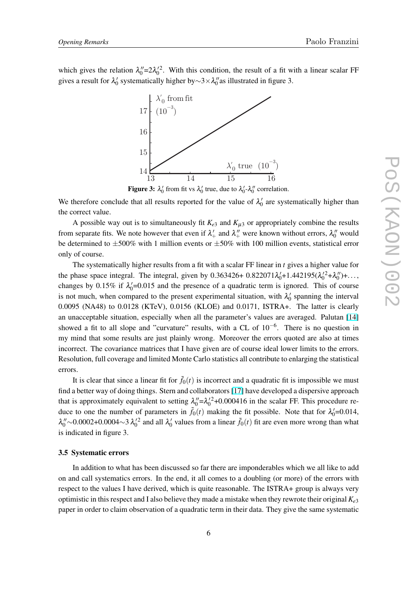which gives the relation  $\lambda_0''=2\lambda_0'^2$ . With this condition, the result of a fit with a linear scalar FF gives a result for  $\lambda'_0$  systematically higher by∼3× $\lambda''_0$  as illustrated in figure 3.



**Figure 3:**  $\lambda'_0$  from fit vs  $\lambda'_0$  true, due to  $\lambda'_0$ - $\lambda''_0$  correlation.

We therefore conclude that all results reported for the value of  $\lambda'_0$  are systematically higher than the correct value.

A possible way out is to simultaneously fit  $K_{e3}$  and  $K_{\mu 3}$  or appropriately combine the results from separate fits. We note however that even if  $\lambda'_+$  and  $\lambda''_+$  were known without errors,  $\lambda''_0$  would be determined to  $\pm 500\%$  with 1 million events or  $\pm 50\%$  with 100 million events, statistical error only of course.

The systematically higher results from a fit with a scalar FF linear in *t* gives a higher value for the phase space integral. The integral, given by  $0.363426 + 0.822071\lambda'_{0} + 1.442195(\lambda'_{0}^{2} + \lambda''_{0}) + ...$ changes by 0.15% if  $\lambda_0'$ =0.015 and the presence of a quadratic term is ignored. This of course is not much, when compared to the present experimental situation, with  $\lambda'_0$  spanning the interval 0.0095 (NA48) to 0.0128 (KTeV), 0.0156 (KLOE) and 0.0171, ISTRA+. The latter is clearly an unacceptable situation, especially when all the parameter's values are averaged. Palutan [\[14\]](#page-8-0) showed a fit to all slope and "curvature" results, with a CL of  $10^{-6}$ . There is no question in my mind that some results are just plainly wrong. Moreover the errors quoted are also at times incorrect. The covariance matrices that I have given are of course ideal lower limits to the errors. Resolution, full coverage and limited Monte Carlo statistics all contribute to enlarging the statistical errors.

It is clear that since a linear fit for  $\tilde{f}_0(t)$  is incorrect and a quadratic fit is impossible we must find a better way of doing things. Stern and collaborators [\[17\]](#page-8-0) have developed a dispersive approach that is approximately equivalent to setting  $\lambda_0'' = \lambda_0'^2 + 0.000416$  in the scalar FF. This procedure reduce to one the number of parameters in  $\tilde{f}_0(t)$  making the fit possible. Note that for  $\lambda'_0 = 0.014$ ,  $\lambda_0'' \sim 0.0002 + 0.0004 \sim 3 \lambda_0'^2$  and all  $\lambda_0'$  values from a linear  $\tilde{f}_0(t)$  fit are even more wrong than what is indicated in figure 3.

#### 3.5 Systematic errors

In addition to what has been discussed so far there are imponderables which we all like to add on and call systematics errors. In the end, it all comes to a doubling (or more) of the errors with respect to the values I have derived, which is quite reasonable. The ISTRA+ group is always very optimistic in this respect and I also believe they made a mistake when they rewrote their original *Ke*<sup>3</sup> paper in order to claim observation of a quadratic term in their data. They give the same systematic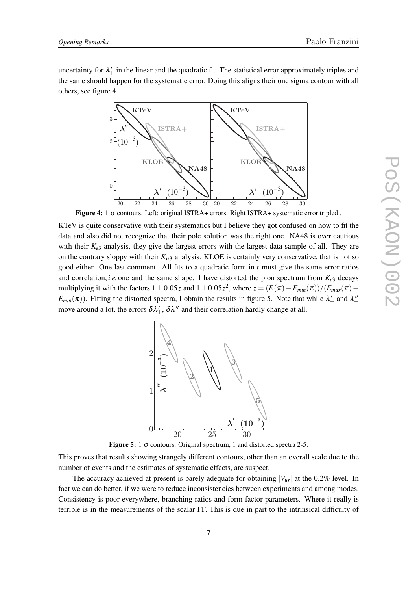uncertainty for  $\lambda'_+$  in the linear and the quadratic fit. The statistical error approximately triples and the same should happen for the systematic error. Doing this aligns their one sigma contour with all others, see figure 4.



Figure 4: 1 <sup>σ</sup> contours. Left: original ISTRA+ errors. Right ISTRA+ systematic error tripled .

KTeV is quite conservative with their systematics but I believe they got confused on how to fit the data and also did not recognize that their pole solution was the right one. NA48 is over cautious with their  $K_{e3}$  analysis, they give the largest errors with the largest data sample of all. They are on the contrary sloppy with their  $K_{\mu 3}$  analysis. KLOE is certainly very conservative, that is not so good either. One last comment. All fits to a quadratic form in *t* must give the same error ratios and correlation, *i.e.* one and the same shape. I have distorted the pion spectrum from  $K_{e3}$  decays multiplying it with the factors  $1 \pm 0.05z$  and  $1 \pm 0.05z^2$ , where  $z = (E(\pi) - E_{min}(\pi))/(E_{max}(\pi) - E_{min}(\pi))$  $E_{min}(\pi)$ ). Fitting the distorted spectra, I obtain the results in figure 5. Note that while  $\lambda'_+$  and  $\lambda''_+$ move around a lot, the errors  $\delta \lambda'_+$ ,  $\delta \lambda''_+$  and their correlation hardly change at all.



Figure 5: 1  $\sigma$  contours. Original spectrum, 1 and distorted spectra 2-5.

This proves that results showing strangely different contours, other than an overall scale due to the number of events and the estimates of systematic effects, are suspect.

The accuracy achieved at present is barely adequate for obtaining  $|V_{us}|$  at the 0.2% level. In fact we can do better, if we were to reduce inconsistencies between experiments and among modes. Consistency is poor everywhere, branching ratios and form factor parameters. Where it really is terrible is in the measurements of the scalar FF. This is due in part to the intrinsical difficulty of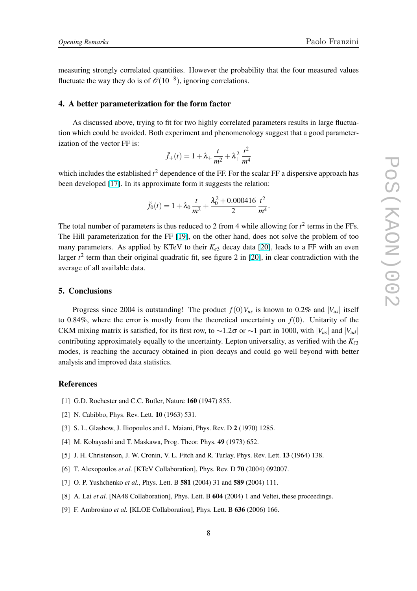<span id="page-7-0"></span>measuring strongly correlated quantities. However the probability that the four measured values fluctuate the way they do is of  $\mathcal{O}(10^{-8})$ , ignoring correlations.

# 4. A better parameterization for the form factor

As discussed above, trying to fit for two highly correlated parameters results in large fluctuation which could be avoided. Both experiment and phenomenology suggest that a good parameterization of the vector FF is:

$$
\tilde{f}_{+}(t) = 1 + \lambda_{+} \frac{t}{m^{2}} + \lambda_{+}^{2} \frac{t^{2}}{m^{4}}
$$

which includes the established  $t^2$  dependence of the FF. For the scalar FF a dispersive approach has been developed [\[17\]](#page-8-0). In its approximate form it suggests the relation:

$$
\tilde{f}_0(t) = 1 + \lambda_0 \frac{t}{m^2} + \frac{\lambda_0^2 + 0.000416}{2} \frac{t^2}{m^4}.
$$

The total number of parameters is thus reduced to 2 from 4 while allowing for  $t^2$  terms in the FFs. The Hill parameterization for the FF [\[19\]](#page-8-0), on the other hand, does not solve the problem of too many parameters. As applied by KTeV to their  $K_{e3}$  decay data [\[20\]](#page-8-0), leads to a FF with an even larger  $t^2$  term than their original quadratic fit, see figure 2 in [\[20\]](#page-8-0), in clear contradiction with the average of all available data.

# 5. Conclusions

Progress since 2004 is outstanding! The product  $f(0)V_{us}$  is known to 0.2% and  $|V_{us}|$  itself to 0.84%, where the error is mostly from the theoretical uncertainty on  $f(0)$ . Unitarity of the CKM mixing matrix is satisfied, for its first row, to ~1.2σ or ~1 part in 1000, with |*V*<sub>*us*</sub>| and |*V*<sub>*ud*</sub>| contributing approximately equally to the uncertainty. Lepton universality, as verified with the  $K_{\ell 3}$ modes, is reaching the accuracy obtained in pion decays and could go well beyond with better analysis and improved data statistics.

#### References

- [1] G.D. Rochester and C.C. Butler, Nature **160** (1947) 855.
- [2] N. Cabibbo, Phys. Rev. Lett. **10** (1963) 531.
- [3] S. L. Glashow, J. Iliopoulos and L. Maiani, Phys. Rev. D 2 (1970) 1285.
- [4] M. Kobayashi and T. Maskawa, Prog. Theor. Phys. 49 (1973) 652.
- [5] J. H. Christenson, J. W. Cronin, V. L. Fitch and R. Turlay, Phys. Rev. Lett. **13** (1964) 138.
- [6] T. Alexopoulos *et al.* [KTeV Collaboration], Phys. Rev. D 70 (2004) 092007.
- [7] O. P. Yushchenko *et al.*, Phys. Lett. B 581 (2004) 31 and 589 (2004) 111.
- [8] A. Lai *et al.* [NA48 Collaboration], Phys. Lett. B 604 (2004) 1 and Veltei, these proceedings.
- [9] F. Ambrosino *et al.* [KLOE Collaboration], Phys. Lett. B 636 (2006) 166.